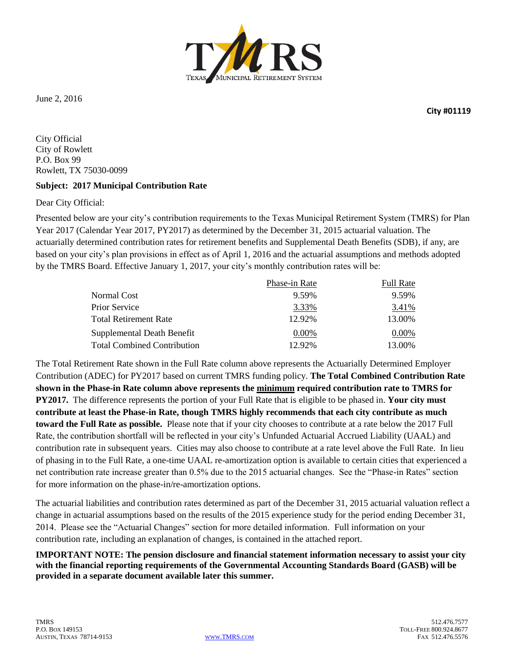

June 2, 2016

**City #01119**

City Official City of Rowlett P.O. Box 99 Rowlett, TX 75030-0099

#### **Subject: 2017 Municipal Contribution Rate**

Dear City Official:

Presented below are your city's contribution requirements to the Texas Municipal Retirement System (TMRS) for Plan Year 2017 (Calendar Year 2017, PY2017) as determined by the December 31, 2015 actuarial valuation. The actuarially determined contribution rates for retirement benefits and Supplemental Death Benefits (SDB), if any, are based on your city's plan provisions in effect as of April 1, 2016 and the actuarial assumptions and methods adopted by the TMRS Board. Effective January 1, 2017, your city's monthly contribution rates will be:

|                                    | Phase-in Rate | <b>Full Rate</b> |
|------------------------------------|---------------|------------------|
| Normal Cost                        | 9.59%         | 9.59%            |
| Prior Service                      | 3.33%         | 3.41%            |
| <b>Total Retirement Rate</b>       | 12.92%        | 13.00%           |
| Supplemental Death Benefit         | $0.00\%$      | $0.00\%$         |
| <b>Total Combined Contribution</b> | 12.92%        | 13.00%           |

The Total Retirement Rate shown in the Full Rate column above represents the Actuarially Determined Employer Contribution (ADEC) for PY2017 based on current TMRS funding policy. **The Total Combined Contribution Rate shown in the Phase-in Rate column above represents the minimum required contribution rate to TMRS for PY2017.** The difference represents the portion of your Full Rate that is eligible to be phased in. **Your city must contribute at least the Phase-in Rate, though TMRS highly recommends that each city contribute as much toward the Full Rate as possible.** Please note that if your city chooses to contribute at a rate below the 2017 Full Rate, the contribution shortfall will be reflected in your city's Unfunded Actuarial Accrued Liability (UAAL) and contribution rate in subsequent years. Cities may also choose to contribute at a rate level above the Full Rate. In lieu of phasing in to the Full Rate, a one-time UAAL re-amortization option is available to certain cities that experienced a net contribution rate increase greater than 0.5% due to the 2015 actuarial changes. See the "Phase-in Rates" section for more information on the phase-in/re-amortization options.

The actuarial liabilities and contribution rates determined as part of the December 31, 2015 actuarial valuation reflect a change in actuarial assumptions based on the results of the 2015 experience study for the period ending December 31, 2014. Please see the "Actuarial Changes" section for more detailed information. Full information on your contribution rate, including an explanation of changes, is contained in the attached report.

**IMPORTANT NOTE: The pension disclosure and financial statement information necessary to assist your city with the financial reporting requirements of the Governmental Accounting Standards Board (GASB) will be provided in a separate document available later this summer.**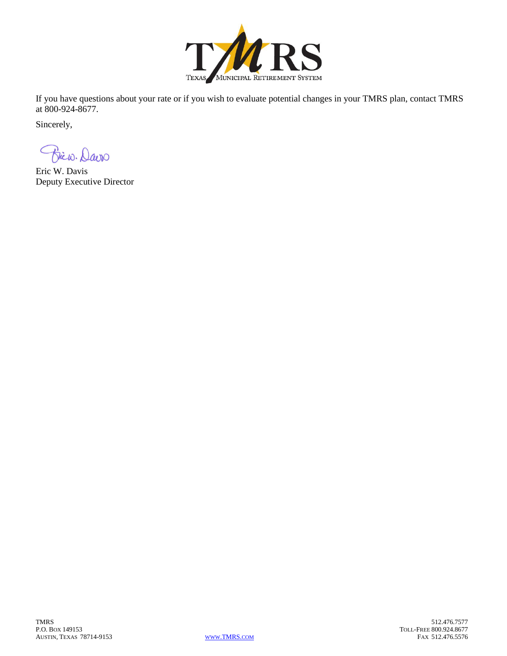

If you have questions about your rate or if you wish to evaluate potential changes in your TMRS plan, contact TMRS at 800-924-8677.

Sincerely,

Brico. Davo

Eric W. Davis Deputy Executive Director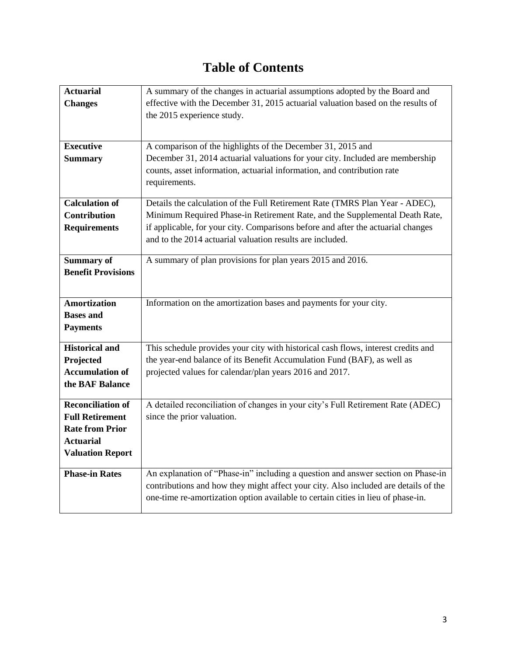# **Table of Contents**

| <b>Actuarial</b>          | A summary of the changes in actuarial assumptions adopted by the Board and          |
|---------------------------|-------------------------------------------------------------------------------------|
| <b>Changes</b>            | effective with the December 31, 2015 actuarial valuation based on the results of    |
|                           | the 2015 experience study.                                                          |
|                           |                                                                                     |
|                           |                                                                                     |
| <b>Executive</b>          | A comparison of the highlights of the December 31, 2015 and                         |
| <b>Summary</b>            | December 31, 2014 actuarial valuations for your city. Included are membership       |
|                           | counts, asset information, actuarial information, and contribution rate             |
|                           | requirements.                                                                       |
| <b>Calculation of</b>     | Details the calculation of the Full Retirement Rate (TMRS Plan Year - ADEC),        |
| <b>Contribution</b>       | Minimum Required Phase-in Retirement Rate, and the Supplemental Death Rate,         |
| <b>Requirements</b>       | if applicable, for your city. Comparisons before and after the actuarial changes    |
|                           | and to the 2014 actuarial valuation results are included.                           |
|                           |                                                                                     |
| <b>Summary of</b>         | A summary of plan provisions for plan years 2015 and 2016.                          |
| <b>Benefit Provisions</b> |                                                                                     |
|                           |                                                                                     |
| <b>Amortization</b>       | Information on the amortization bases and payments for your city.                   |
| <b>Bases and</b>          |                                                                                     |
| <b>Payments</b>           |                                                                                     |
|                           |                                                                                     |
| <b>Historical and</b>     | This schedule provides your city with historical cash flows, interest credits and   |
| Projected                 | the year-end balance of its Benefit Accumulation Fund (BAF), as well as             |
| <b>Accumulation of</b>    | projected values for calendar/plan years 2016 and 2017.                             |
| the BAF Balance           |                                                                                     |
| <b>Reconciliation of</b>  | A detailed reconciliation of changes in your city's Full Retirement Rate (ADEC)     |
| <b>Full Retirement</b>    | since the prior valuation.                                                          |
| <b>Rate from Prior</b>    |                                                                                     |
| <b>Actuarial</b>          |                                                                                     |
| <b>Valuation Report</b>   |                                                                                     |
|                           |                                                                                     |
| <b>Phase-in Rates</b>     | An explanation of "Phase-in" including a question and answer section on Phase-in    |
|                           | contributions and how they might affect your city. Also included are details of the |
|                           | one-time re-amortization option available to certain cities in lieu of phase-in.    |
|                           |                                                                                     |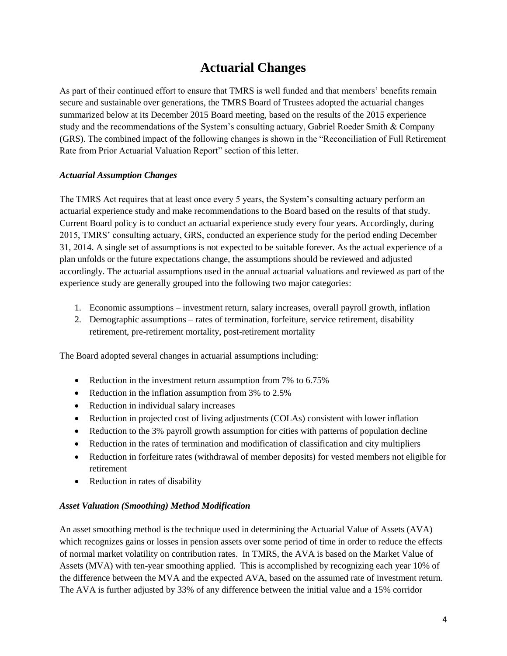### **Actuarial Changes**

As part of their continued effort to ensure that TMRS is well funded and that members' benefits remain secure and sustainable over generations, the TMRS Board of Trustees adopted the actuarial changes summarized below at its December 2015 Board meeting, based on the results of the 2015 experience study and the recommendations of the System's consulting actuary, Gabriel Roeder Smith & Company (GRS). The combined impact of the following changes is shown in the "Reconciliation of Full Retirement Rate from Prior Actuarial Valuation Report" section of this letter.

### *Actuarial Assumption Changes*

The TMRS Act requires that at least once every 5 years, the System's consulting actuary perform an actuarial experience study and make recommendations to the Board based on the results of that study. Current Board policy is to conduct an actuarial experience study every four years. Accordingly, during 2015, TMRS' consulting actuary, GRS, conducted an experience study for the period ending December 31, 2014. A single set of assumptions is not expected to be suitable forever. As the actual experience of a plan unfolds or the future expectations change, the assumptions should be reviewed and adjusted accordingly. The actuarial assumptions used in the annual actuarial valuations and reviewed as part of the experience study are generally grouped into the following two major categories:

- 1. Economic assumptions investment return, salary increases, overall payroll growth, inflation
- 2. Demographic assumptions rates of termination, forfeiture, service retirement, disability retirement, pre-retirement mortality, post-retirement mortality

The Board adopted several changes in actuarial assumptions including:

- Reduction in the investment return assumption from 7% to 6.75%
- Reduction in the inflation assumption from 3% to 2.5%
- Reduction in individual salary increases
- Reduction in projected cost of living adjustments (COLAs) consistent with lower inflation
- Reduction to the 3% payroll growth assumption for cities with patterns of population decline
- Reduction in the rates of termination and modification of classification and city multipliers
- Reduction in forfeiture rates (withdrawal of member deposits) for vested members not eligible for retirement
- Reduction in rates of disability

#### *Asset Valuation (Smoothing) Method Modification*

An asset smoothing method is the technique used in determining the Actuarial Value of Assets (AVA) which recognizes gains or losses in pension assets over some period of time in order to reduce the effects of normal market volatility on contribution rates. In TMRS, the AVA is based on the Market Value of Assets (MVA) with ten-year smoothing applied. This is accomplished by recognizing each year 10% of the difference between the MVA and the expected AVA, based on the assumed rate of investment return. The AVA is further adjusted by 33% of any difference between the initial value and a 15% corridor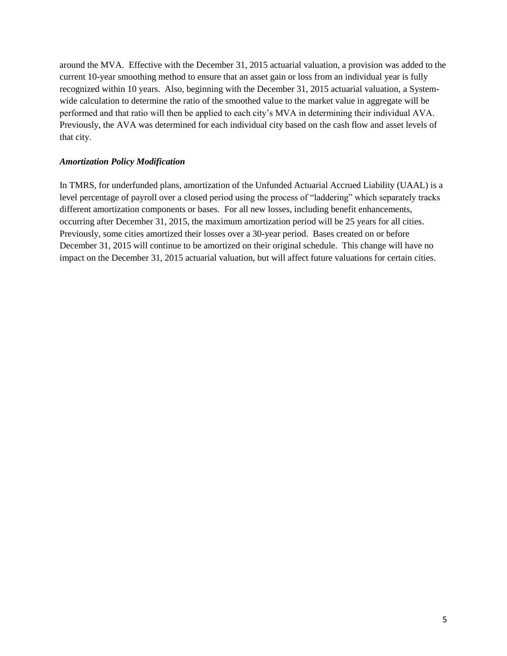around the MVA. Effective with the December 31, 2015 actuarial valuation, a provision was added to the current 10-year smoothing method to ensure that an asset gain or loss from an individual year is fully recognized within 10 years. Also, beginning with the December 31, 2015 actuarial valuation, a Systemwide calculation to determine the ratio of the smoothed value to the market value in aggregate will be performed and that ratio will then be applied to each city's MVA in determining their individual AVA. Previously, the AVA was determined for each individual city based on the cash flow and asset levels of that city.

### *Amortization Policy Modification*

In TMRS, for underfunded plans, amortization of the Unfunded Actuarial Accrued Liability (UAAL) is a level percentage of payroll over a closed period using the process of "laddering" which separately tracks different amortization components or bases. For all new losses, including benefit enhancements, occurring after December 31, 2015, the maximum amortization period will be 25 years for all cities. Previously, some cities amortized their losses over a 30-year period. Bases created on or before December 31, 2015 will continue to be amortized on their original schedule. This change will have no impact on the December 31, 2015 actuarial valuation, but will affect future valuations for certain cities.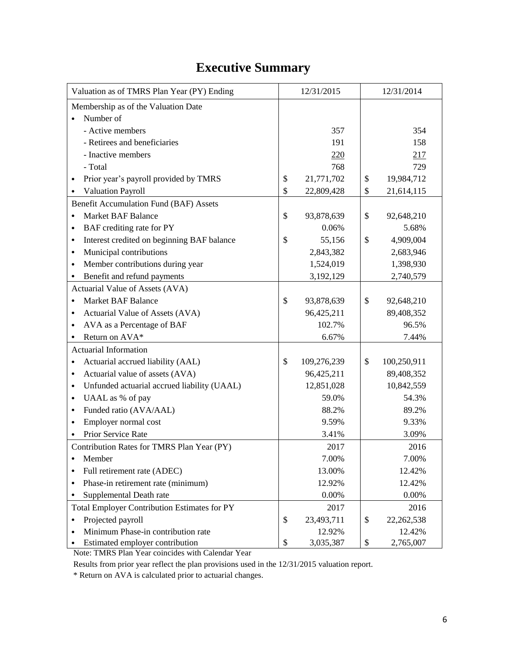## **Executive Summary**

| Valuation as of TMRS Plan Year (PY) Ending               | 12/31/2015        | 12/31/2014 |              |  |  |
|----------------------------------------------------------|-------------------|------------|--------------|--|--|
| Membership as of the Valuation Date                      |                   |            |              |  |  |
| Number of                                                |                   |            |              |  |  |
| - Active members                                         | 357               |            | 354          |  |  |
| - Retirees and beneficiaries                             | 191               | 158        |              |  |  |
| - Inactive members                                       | 220               |            | 217          |  |  |
| - Total                                                  | 768               |            | 729          |  |  |
| Prior year's payroll provided by TMRS<br>$\bullet$       | \$<br>21,771,702  | \$         | 19,984,712   |  |  |
| Valuation Payroll                                        | \$<br>22,809,428  | \$         | 21,614,115   |  |  |
| <b>Benefit Accumulation Fund (BAF) Assets</b>            |                   |            |              |  |  |
| <b>Market BAF Balance</b><br>$\bullet$                   | \$<br>93,878,639  | \$         | 92,648,210   |  |  |
| BAF crediting rate for PY<br>$\bullet$                   | 0.06%             |            | 5.68%        |  |  |
| Interest credited on beginning BAF balance<br>$\bullet$  | \$<br>55,156      | \$         | 4,909,004    |  |  |
| Municipal contributions<br>$\bullet$                     | 2,843,382         |            | 2,683,946    |  |  |
| Member contributions during year<br>$\bullet$            | 1,524,019         |            | 1,398,930    |  |  |
| Benefit and refund payments<br>٠                         | 3,192,129         |            | 2,740,579    |  |  |
| Actuarial Value of Assets (AVA)                          |                   |            |              |  |  |
| <b>Market BAF Balance</b><br>$\bullet$                   | \$<br>93,878,639  | \$         | 92,648,210   |  |  |
| Actuarial Value of Assets (AVA)<br>٠                     | 96,425,211        | 89,408,352 |              |  |  |
| AVA as a Percentage of BAF<br>$\bullet$                  | 102.7%            | 96.5%      |              |  |  |
| Return on AVA*                                           | 6.67%             |            | 7.44%        |  |  |
| <b>Actuarial Information</b>                             |                   |            |              |  |  |
| Actuarial accrued liability (AAL)<br>$\bullet$           | \$<br>109,276,239 | \$         | 100,250,911  |  |  |
| Actuarial value of assets (AVA)<br>$\bullet$             | 96,425,211        |            | 89,408,352   |  |  |
| Unfunded actuarial accrued liability (UAAL)<br>$\bullet$ | 12,851,028        |            | 10,842,559   |  |  |
| UAAL as % of pay<br>٠                                    | 59.0%             |            | 54.3%        |  |  |
| Funded ratio (AVA/AAL)<br>$\bullet$                      | 88.2%             |            | 89.2%        |  |  |
| Employer normal cost<br>$\bullet$                        | 9.59%             |            | 9.33%        |  |  |
| Prior Service Rate                                       | 3.41%             |            | 3.09%        |  |  |
| Contribution Rates for TMRS Plan Year (PY)               | 2017              |            | 2016         |  |  |
| Member<br>٠                                              | 7.00%             |            | 7.00%        |  |  |
| Full retirement rate (ADEC)                              | 13.00%            |            | 12.42%       |  |  |
| Phase-in retirement rate (minimum)<br>$\bullet$          | 12.92%            |            | 12.42%       |  |  |
| Supplemental Death rate                                  | 0.00%             |            | 0.00%        |  |  |
| Total Employer Contribution Estimates for PY             | 2017              |            | 2016         |  |  |
| Projected payroll<br>$\bullet$                           | \$<br>23,493,711  | \$         | 22, 262, 538 |  |  |
| Minimum Phase-in contribution rate                       | 12.92%            |            | 12.42%       |  |  |
| Estimated employer contribution                          | \$<br>3,035,387   | \$         | 2,765,007    |  |  |

Note: TMRS Plan Year coincides with Calendar Year

Results from prior year reflect the plan provisions used in the 12/31/2015 valuation report.

\* Return on AVA is calculated prior to actuarial changes.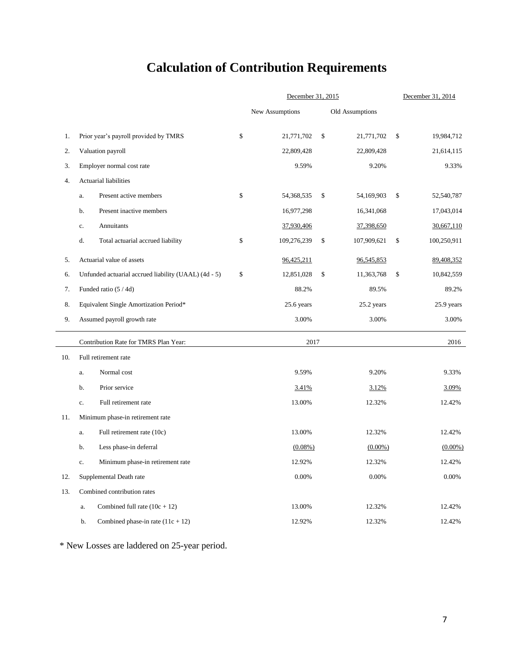# **Calculation of Contribution Requirements**

|     |                                                      | December 31, 2015        |               | December 31, 2014 |        |             |  |  |
|-----|------------------------------------------------------|--------------------------|---------------|-------------------|--------|-------------|--|--|
|     |                                                      | New Assumptions          |               | Old Assumptions   |        |             |  |  |
| 1.  | Prior year's payroll provided by TMRS                | \$<br>21,771,702         | $\mathcal{S}$ | 21,771,702        | \$     | 19,984,712  |  |  |
| 2.  | Valuation payroll                                    | 22,809,428               |               | 22,809,428        |        | 21,614,115  |  |  |
| 3.  | Employer normal cost rate                            | 9.59%                    |               | 9.20%             |        | 9.33%       |  |  |
| 4.  | Actuarial liabilities                                |                          |               |                   |        |             |  |  |
|     | Present active members<br>a.                         | \$<br>54,368,535         | \$            | 54,169,903        | \$     | 52,540,787  |  |  |
|     | Present inactive members<br>b.                       | 16,977,298               |               | 16,341,068        |        | 17,043,014  |  |  |
|     | Annuitants<br>c.                                     | 37,930,406               |               | 37,398,650        |        | 30,667,110  |  |  |
|     | Total actuarial accrued liability<br>d.              | \$<br>109,276,239        | \$            | 107,909,621       | \$     | 100,250,911 |  |  |
| 5.  | Actuarial value of assets                            | 96,425,211               |               | 96,545,853        |        | 89,408,352  |  |  |
| 6.  | Unfunded actuarial accrued liability (UAAL) (4d - 5) | \$<br>12,851,028         | \$            | 11,363,768        | \$     | 10,842,559  |  |  |
| 7.  | Funded ratio (5 / 4d)                                | 88.2%                    |               | 89.5%             |        | 89.2%       |  |  |
| 8.  | Equivalent Single Amortization Period*               | 25.6 years<br>25.2 years |               |                   |        | 25.9 years  |  |  |
| 9.  | Assumed payroll growth rate                          | 3.00%                    |               | 3.00%             |        | 3.00%       |  |  |
|     | Contribution Rate for TMRS Plan Year:                | 2017                     |               |                   |        | 2016        |  |  |
| 10. | Full retirement rate                                 |                          |               |                   |        |             |  |  |
|     | Normal cost<br>a.                                    | 9.59%                    |               | 9.20%             |        | 9.33%       |  |  |
|     | Prior service<br>b.                                  | 3.41%                    |               | 3.09%             |        |             |  |  |
|     | Full retirement rate<br>c.                           | 13.00%                   | 12.32%        |                   | 12.42% |             |  |  |
| 11. | Minimum phase-in retirement rate                     |                          |               |                   |        |             |  |  |
|     | Full retirement rate (10c)<br>a.                     | 13.00%                   |               | 12.32%            |        | 12.42%      |  |  |
|     | Less phase-in deferral<br>b.                         | $(0.08\%)$               |               | $(0.00\%)$        |        | $(0.00\%)$  |  |  |
|     | Minimum phase-in retirement rate<br>c.               | 12.92%                   | 12.32%        |                   |        | 12.42%      |  |  |
| 12. | Supplemental Death rate                              | 0.00%                    | 0.00%         |                   |        | 0.00%       |  |  |
| 13. | Combined contribution rates                          |                          |               |                   |        |             |  |  |
|     | Combined full rate $(10c + 12)$<br>a.                | 13.00%                   |               | 12.32%            |        | 12.42%      |  |  |
|     | Combined phase-in rate $(11c + 12)$<br>b.            | 12.92%                   |               | 12.32%            |        | 12.42%      |  |  |

\* New Losses are laddered on 25-year period.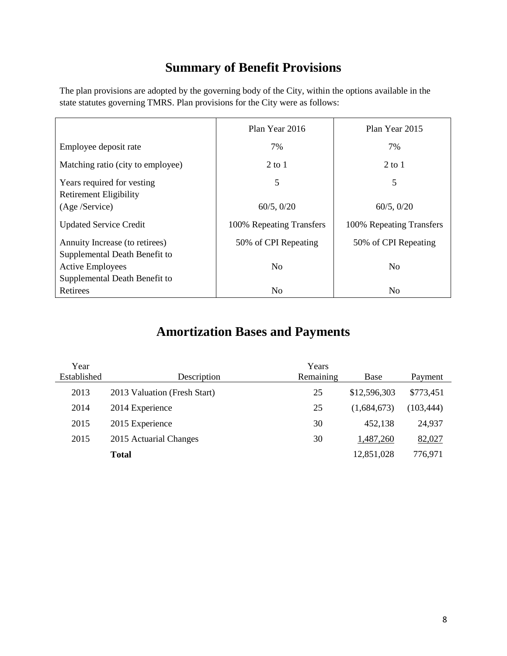## **Summary of Benefit Provisions**

The plan provisions are adopted by the governing body of the City, within the options available in the state statutes governing TMRS. Plan provisions for the City were as follows:

|                                                                                           | Plan Year 2016           | Plan Year 2015           |
|-------------------------------------------------------------------------------------------|--------------------------|--------------------------|
| Employee deposit rate                                                                     | 7%                       | 7%                       |
| Matching ratio (city to employee)                                                         | $2$ to 1                 | $2$ to 1                 |
| Years required for vesting<br><b>Retirement Eligibility</b>                               | 5                        | 5                        |
| (Age /Service)                                                                            | $60/5$ , $0/20$          | $60/5$ , $0/20$          |
| <b>Updated Service Credit</b>                                                             | 100% Repeating Transfers | 100% Repeating Transfers |
| Annuity Increase (to retirees)                                                            | 50% of CPI Repeating     | 50% of CPI Repeating     |
| Supplemental Death Benefit to<br><b>Active Employees</b><br>Supplemental Death Benefit to | N <sub>0</sub>           | N <sub>0</sub>           |
| Retirees                                                                                  | N <sub>0</sub>           | N <sub>0</sub>           |

### **Amortization Bases and Payments**

| Year        |                              | Years     |              |            |
|-------------|------------------------------|-----------|--------------|------------|
| Established | Description                  | Remaining | Base         | Payment    |
| 2013        | 2013 Valuation (Fresh Start) | 25        | \$12,596,303 | \$773,451  |
| 2014        | 2014 Experience              | 25        | (1,684,673)  | (103, 444) |
| 2015        | 2015 Experience              | 30        | 452,138      | 24,937     |
| 2015        | 2015 Actuarial Changes       | 30        | 1,487,260    | 82,027     |
|             | <b>Total</b>                 |           | 12,851,028   | 776,971    |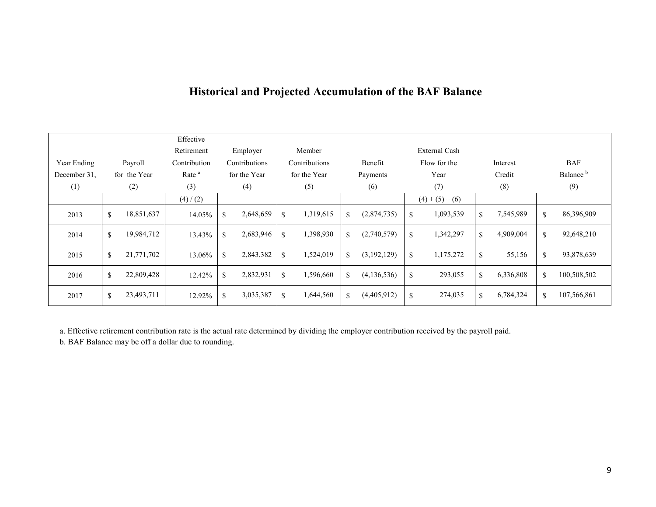|              |              |              | Effective         |     |               |               |              |               |                         |      |                      |          |           |                      |             |
|--------------|--------------|--------------|-------------------|-----|---------------|---------------|--------------|---------------|-------------------------|------|----------------------|----------|-----------|----------------------|-------------|
|              |              |              | Retirement        |     | Employer      |               | Member       |               |                         |      | <b>External Cash</b> |          |           |                      |             |
| Year Ending  |              | Payroll      | Contribution      |     | Contributions | Contributions |              |               | Flow for the<br>Benefit |      |                      | Interest |           |                      | <b>BAF</b>  |
| December 31, |              | for the Year | Rate <sup>a</sup> |     | for the Year  |               | for the Year | Payments      |                         | Year |                      | Credit   |           | Balance <sup>b</sup> |             |
| (1)          |              | (2)          | (3)               |     | (4)           |               | (5)          |               | (6)<br>(7)              |      | (8)                  |          | (9)       |                      |             |
|              |              |              | (4) / (2)         |     |               |               |              |               |                         |      | $(4)+(5)+(6)$        |          |           |                      |             |
| 2013         | $\mathbb{S}$ | 18,851,637   | 14.05%            | \$  | 2,648,659     | \$            | 1,319,615    | \$            | (2,874,735)             | \$   | 1,093,539            | \$       | 7,545,989 | \$                   | 86,396,909  |
| 2014         | $\mathbb{S}$ | 19,984,712   | 13.43%            | \$. | 2,683,946     | $\mathbf S$   | 1,398,930    | <sup>\$</sup> | (2,740,579)             | \$   | 1,342,297            | \$       | 4,909,004 | $\mathbf S$          | 92,648,210  |
| 2015         | \$           | 21,771,702   | 13.06%            | \$  | 2,843,382     | <sup>\$</sup> | 1,524,019    | \$            | (3,192,129)             | \$   | 1,175,272            | \$       | 55,156    | $\mathbf S$          | 93,878,639  |
| 2016         | $\mathbb{S}$ | 22,809,428   | 12.42%            | \$  | 2,832,931     | $\mathbf S$   | 1,596,660    | \$            | (4, 136, 536)           | \$   | 293,055              | \$       | 6,336,808 | $\mathbf S$          | 100,508,502 |
| 2017         | \$           | 23,493,711   | 12.92%            | \$  | 3,035,387     | $\mathbf S$   | 1,644,560    | \$            | (4,405,912)             | \$   | 274,035              | \$       | 6,784,324 | $\mathbf S$          | 107,566,861 |

### **Historical and Projected Accumulation of the BAF Balance**

a. Effective retirement contribution rate is the actual rate determined by dividing the employer contribution received by the payroll paid.

b. BAF Balance may be off a dollar due to rounding.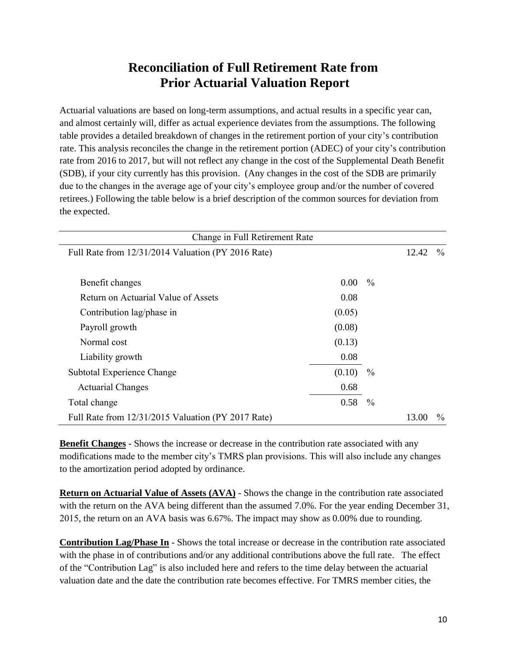### **Reconciliation of Full Retirement Rate from Prior Actuarial Valuation Report**

Actuarial valuations are based on long-term assumptions, and actual results in a specific year can, and almost certainly will, differ as actual experience deviates from the assumptions. The following table provides a detailed breakdown of changes in the retirement portion of your city's contribution rate. This analysis reconciles the change in the retirement portion (ADEC) of your city's contribution rate from 2016 to 2017, but will not reflect any change in the cost of the Supplemental Death Benefit (SDB), if your city currently has this provision. (Any changes in the cost of the SDB are primarily due to the changes in the average age of your city's employee group and/or the number of covered retirees.) Following the table below is a brief description of the common sources for deviation from the expected.

| Change in Full Retirement Rate                     |        |               |       |               |
|----------------------------------------------------|--------|---------------|-------|---------------|
| Full Rate from 12/31/2014 Valuation (PY 2016 Rate) |        |               | 12.42 | $\%$          |
|                                                    |        |               |       |               |
| Benefit changes                                    | 0.00   | $\frac{0}{0}$ |       |               |
| Return on Actuarial Value of Assets                | 0.08   |               |       |               |
| Contribution lag/phase in                          | (0.05) |               |       |               |
| Payroll growth                                     | (0.08) |               |       |               |
| Normal cost                                        | (0.13) |               |       |               |
| Liability growth                                   | 0.08   |               |       |               |
| Subtotal Experience Change                         | (0.10) | $\frac{0}{0}$ |       |               |
| <b>Actuarial Changes</b>                           | 0.68   |               |       |               |
| Total change                                       | 0.58   | $\frac{0}{0}$ |       |               |
| Full Rate from 12/31/2015 Valuation (PY 2017 Rate) |        |               | 13.00 | $\frac{0}{0}$ |

**Benefit Changes** - Shows the increase or decrease in the contribution rate associated with any modifications made to the member city's TMRS plan provisions. This will also include any changes to the amortization period adopted by ordinance.

**Return on Actuarial Value of Assets (AVA)** - Shows the change in the contribution rate associated with the return on the AVA being different than the assumed 7.0%. For the year ending December 31, 2015, the return on an AVA basis was 6.67%. The impact may show as 0.00% due to rounding.

**Contribution Lag/Phase In** - Shows the total increase or decrease in the contribution rate associated with the phase in of contributions and/or any additional contributions above the full rate. The effect of the "Contribution Lag" is also included here and refers to the time delay between the actuarial valuation date and the date the contribution rate becomes effective. For TMRS member cities, the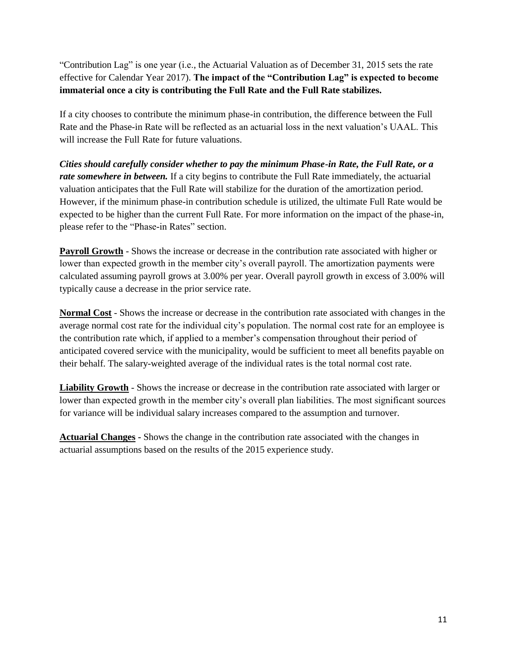"Contribution Lag" is one year (i.e., the Actuarial Valuation as of December 31, 2015 sets the rate effective for Calendar Year 2017). **The impact of the "Contribution Lag" is expected to become immaterial once a city is contributing the Full Rate and the Full Rate stabilizes.**

If a city chooses to contribute the minimum phase-in contribution, the difference between the Full Rate and the Phase-in Rate will be reflected as an actuarial loss in the next valuation's UAAL. This will increase the Full Rate for future valuations.

*Cities should carefully consider whether to pay the minimum Phase-in Rate, the Full Rate, or a rate somewhere in between.* If a city begins to contribute the Full Rate immediately, the actuarial valuation anticipates that the Full Rate will stabilize for the duration of the amortization period. However, if the minimum phase-in contribution schedule is utilized, the ultimate Full Rate would be expected to be higher than the current Full Rate. For more information on the impact of the phase-in, please refer to the "Phase-in Rates" section.

**Payroll Growth** - Shows the increase or decrease in the contribution rate associated with higher or lower than expected growth in the member city's overall payroll. The amortization payments were calculated assuming payroll grows at 3.00% per year. Overall payroll growth in excess of 3.00% will typically cause a decrease in the prior service rate.

**Normal Cost** - Shows the increase or decrease in the contribution rate associated with changes in the average normal cost rate for the individual city's population. The normal cost rate for an employee is the contribution rate which, if applied to a member's compensation throughout their period of anticipated covered service with the municipality, would be sufficient to meet all benefits payable on their behalf. The salary-weighted average of the individual rates is the total normal cost rate.

**Liability Growth** - Shows the increase or decrease in the contribution rate associated with larger or lower than expected growth in the member city's overall plan liabilities. The most significant sources for variance will be individual salary increases compared to the assumption and turnover.

**Actuarial Changes -** Shows the change in the contribution rate associated with the changes in actuarial assumptions based on the results of the 2015 experience study.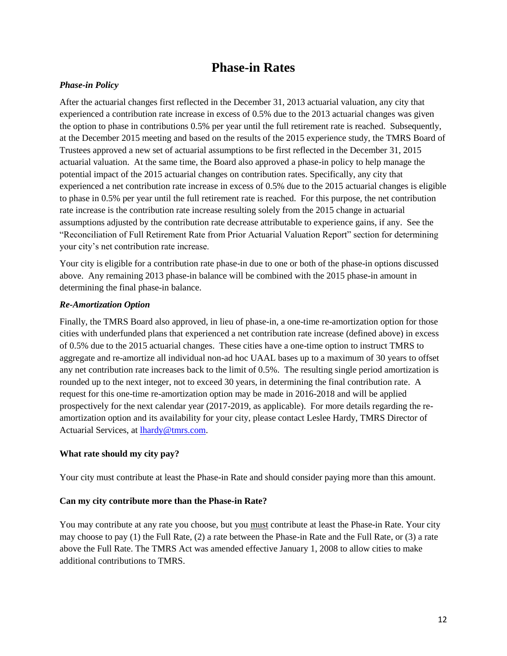### **Phase-in Rates**

### *Phase-in Policy*

After the actuarial changes first reflected in the December 31, 2013 actuarial valuation, any city that experienced a contribution rate increase in excess of 0.5% due to the 2013 actuarial changes was given the option to phase in contributions 0.5% per year until the full retirement rate is reached. Subsequently, at the December 2015 meeting and based on the results of the 2015 experience study, the TMRS Board of Trustees approved a new set of actuarial assumptions to be first reflected in the December 31, 2015 actuarial valuation. At the same time, the Board also approved a phase-in policy to help manage the potential impact of the 2015 actuarial changes on contribution rates. Specifically, any city that experienced a net contribution rate increase in excess of 0.5% due to the 2015 actuarial changes is eligible to phase in 0.5% per year until the full retirement rate is reached. For this purpose, the net contribution rate increase is the contribution rate increase resulting solely from the 2015 change in actuarial assumptions adjusted by the contribution rate decrease attributable to experience gains, if any. See the "Reconciliation of Full Retirement Rate from Prior Actuarial Valuation Report" section for determining your city's net contribution rate increase.

Your city is eligible for a contribution rate phase-in due to one or both of the phase-in options discussed above. Any remaining 2013 phase-in balance will be combined with the 2015 phase-in amount in determining the final phase-in balance.

### *Re-Amortization Option*

Finally, the TMRS Board also approved, in lieu of phase-in, a one-time re-amortization option for those cities with underfunded plans that experienced a net contribution rate increase (defined above) in excess of 0.5% due to the 2015 actuarial changes. These cities have a one-time option to instruct TMRS to aggregate and re-amortize all individual non-ad hoc UAAL bases up to a maximum of 30 years to offset any net contribution rate increases back to the limit of 0.5%. The resulting single period amortization is rounded up to the next integer, not to exceed 30 years, in determining the final contribution rate. A request for this one-time re-amortization option may be made in 2016-2018 and will be applied prospectively for the next calendar year (2017-2019, as applicable). For more details regarding the reamortization option and its availability for your city, please contact Leslee Hardy, TMRS Director of Actuarial Services, at [lhardy@tmrs.com.](mailto:lhardy@tmrs.com)

### **What rate should my city pay?**

Your city must contribute at least the Phase-in Rate and should consider paying more than this amount.

#### **Can my city contribute more than the Phase-in Rate?**

You may contribute at any rate you choose, but you must contribute at least the Phase-in Rate. Your city may choose to pay (1) the Full Rate, (2) a rate between the Phase-in Rate and the Full Rate, or (3) a rate above the Full Rate. The TMRS Act was amended effective January 1, 2008 to allow cities to make additional contributions to TMRS.